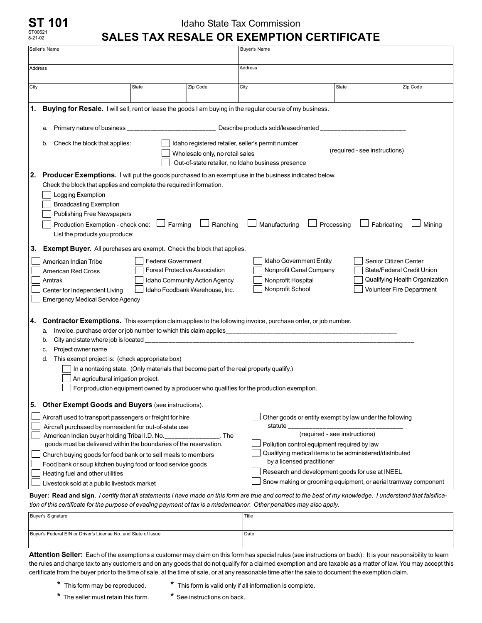## **ST 101** ST00621 8-21-02

## Idaho State Tax Commission **SALES TAX RESALE OR EXEMPTION CERTIFICATE**

|                                                                                                                                                                                                                                                                                                                                                                                                                                                        | Seller's Name                                                                                                                                                                                                                                                                                                                                                                                                                                                |                           |                                                                                                         | <b>Buyer's Name</b>                                                                                          |                                                                                                                                                                                                                                                                                                                                                       |                                                                                                                    |  |  |  |  |
|--------------------------------------------------------------------------------------------------------------------------------------------------------------------------------------------------------------------------------------------------------------------------------------------------------------------------------------------------------------------------------------------------------------------------------------------------------|--------------------------------------------------------------------------------------------------------------------------------------------------------------------------------------------------------------------------------------------------------------------------------------------------------------------------------------------------------------------------------------------------------------------------------------------------------------|---------------------------|---------------------------------------------------------------------------------------------------------|--------------------------------------------------------------------------------------------------------------|-------------------------------------------------------------------------------------------------------------------------------------------------------------------------------------------------------------------------------------------------------------------------------------------------------------------------------------------------------|--------------------------------------------------------------------------------------------------------------------|--|--|--|--|
| Address                                                                                                                                                                                                                                                                                                                                                                                                                                                |                                                                                                                                                                                                                                                                                                                                                                                                                                                              |                           |                                                                                                         | Address                                                                                                      |                                                                                                                                                                                                                                                                                                                                                       |                                                                                                                    |  |  |  |  |
| City                                                                                                                                                                                                                                                                                                                                                                                                                                                   |                                                                                                                                                                                                                                                                                                                                                                                                                                                              | State                     | Zip Code                                                                                                | City                                                                                                         | <b>State</b>                                                                                                                                                                                                                                                                                                                                          | Zip Code                                                                                                           |  |  |  |  |
|                                                                                                                                                                                                                                                                                                                                                                                                                                                        |                                                                                                                                                                                                                                                                                                                                                                                                                                                              |                           |                                                                                                         |                                                                                                              |                                                                                                                                                                                                                                                                                                                                                       |                                                                                                                    |  |  |  |  |
| 1.                                                                                                                                                                                                                                                                                                                                                                                                                                                     | Buying for Resale. I will sell, rent or lease the goods I am buying in the regular course of my business.                                                                                                                                                                                                                                                                                                                                                    |                           |                                                                                                         |                                                                                                              |                                                                                                                                                                                                                                                                                                                                                       |                                                                                                                    |  |  |  |  |
| Primary nature of business __<br>a.                                                                                                                                                                                                                                                                                                                                                                                                                    |                                                                                                                                                                                                                                                                                                                                                                                                                                                              |                           |                                                                                                         |                                                                                                              |                                                                                                                                                                                                                                                                                                                                                       |                                                                                                                    |  |  |  |  |
|                                                                                                                                                                                                                                                                                                                                                                                                                                                        | Check the block that applies:<br>b.                                                                                                                                                                                                                                                                                                                                                                                                                          |                           | Wholesale only, no retail sales                                                                         | Idaho registered retailer, seller's permit number _____<br>Out-of-state retailer, no Idaho business presence | (required - see instructions)                                                                                                                                                                                                                                                                                                                         |                                                                                                                    |  |  |  |  |
| 2.                                                                                                                                                                                                                                                                                                                                                                                                                                                     | <b>Producer Exemptions.</b> I will put the goods purchased to an exempt use in the business indicated below.<br>Check the block that applies and complete the required information.<br>Logging Exemption<br><b>Broadcasting Exemption</b><br><b>Publishing Free Newspapers</b><br>Production Exemption - check one: $\Box$ Farming<br>$\Box$ Ranching<br>Manufacturing<br>Fabricating<br>Mining<br>Processing<br>List the products you produce:              |                           |                                                                                                         |                                                                                                              |                                                                                                                                                                                                                                                                                                                                                       |                                                                                                                    |  |  |  |  |
| 3.                                                                                                                                                                                                                                                                                                                                                                                                                                                     | <b>Exempt Buyer.</b> All purchases are exempt. Check the block that applies.<br>American Indian Tribe<br><b>American Red Cross</b><br>Amtrak<br>Center for Independent Living<br><b>Emergency Medical Service Agency</b>                                                                                                                                                                                                                                     | <b>Federal Government</b> | <b>Forest Protective Association</b><br>Idaho Community Action Agency<br>Idaho Foodbank Warehouse, Inc. | Nonprofit Hospital<br>Nonprofit School                                                                       | Idaho Government Entity<br>Nonprofit Canal Company                                                                                                                                                                                                                                                                                                    | Senior Citizen Center<br>State/Federal Credit Union<br>Qualifying Health Organization<br>Volunteer Fire Department |  |  |  |  |
| <b>Contractor Exemptions.</b> This exemption claim applies to the following invoice, purchase order, or job number.<br>4.<br>a.<br>b.<br>Project owner name<br>c.<br>This exempt project is: (check appropriate box)<br>d.<br>In a nontaxing state. (Only materials that become part of the real property qualify.)<br>An agricultural irrigation project.<br>For production equipment owned by a producer who qualifies for the production exemption. |                                                                                                                                                                                                                                                                                                                                                                                                                                                              |                           |                                                                                                         |                                                                                                              |                                                                                                                                                                                                                                                                                                                                                       |                                                                                                                    |  |  |  |  |
| Other Exempt Goods and Buyers (see instructions).<br>5.                                                                                                                                                                                                                                                                                                                                                                                                |                                                                                                                                                                                                                                                                                                                                                                                                                                                              |                           |                                                                                                         |                                                                                                              |                                                                                                                                                                                                                                                                                                                                                       |                                                                                                                    |  |  |  |  |
|                                                                                                                                                                                                                                                                                                                                                                                                                                                        | Aircraft used to transport passengers or freight for hire<br>Aircraft purchased by nonresident for out-of-state use<br>American Indian buyer holding Tribal I.D. No.<br>goods must be delivered within the boundaries of the reservation.<br>Church buying goods for food bank or to sell meals to members<br>Food bank or soup kitchen buying food or food service goods<br>Heating fuel and other utilities<br>Livestock sold at a public livestock market |                           | The                                                                                                     | statute ___                                                                                                  | Other goods or entity exempt by law under the following<br>(required - see instructions)<br>Pollution control equipment required by law<br>Qualifying medical items to be administered/distributed<br>by a licensed practitioner<br>Research and development goods for use at INEEL<br>Snow making or grooming equipment, or aerial tramway component |                                                                                                                    |  |  |  |  |

*tion of this certificate for the purpose of evading payment of tax is a misdemeanor. Other penalties may also apply.*

| Buyer's Signature                                              | Title |
|----------------------------------------------------------------|-------|
|                                                                |       |
| Buyer's Federal EIN or Driver's License No. and State of Issue | Date  |
|                                                                |       |

**Attention Seller:** Each of the exemptions a customer may claim on this form has special rules (see instructions on back). It is your responsibility to learn the rules and charge tax to any customers and on any goods that do not qualify for a claimed exemption and are taxable as a matter of law. You may accept this certificate from the buyer prior to the time of sale, at the time of sale, or at any reasonable time after the sale to document the exemption claim.

- 
- **\*** This form may be reproduced. **\*** This form is valid only if all information is complete.
- **\*** The seller must retain this form. **\*** See instructions on back.
-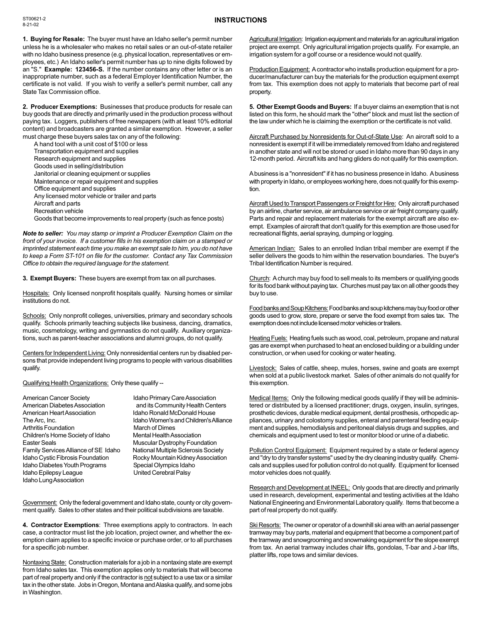## **INSTRUCTIONS**

**1. Buying for Resale:** The buyer must have an Idaho seller's permit number unless he is a wholesaler who makes no retail sales or an out-of-state retailer with no Idaho business presence (e.g. physical location, representatives or employees, etc.) An Idaho seller's permit number has up to nine digits followed by an "S." **Example: 123456-S.** If the number contains any other letter or is an inappropriate number, such as a federal Employer Identification Number, the certificate is not valid. If you wish to verify a seller's permit number, call any State Tax Commission office.

**2. Producer Exemptions:** Businesses that produce products for resale can buy goods that are directly and primarily used in the production process without paying tax. Loggers, publishers of free newspapers (with at least 10% editorial content) and broadcasters are granted a similar exemption. However, a seller must charge these buyers sales tax on any of the following:

A hand tool with a unit cost of \$100 or less

Transportation equipment and supplies

Research equipment and supplies

Goods used in selling/distribution

Janitorial or cleaning equipment or supplies

Maintenance or repair equipment and supplies

Office equipment and supplies

Any licensed motor vehicle or trailer and parts

Aircraft and parts

Recreation vehicle

Goods that become improvements to real property (such as fence posts)

*Note to seller: You may stamp or imprint a Producer Exemption Claim on the front of your invoice. If a customer fills in his exemption claim on a stamped or imprinted statement each time you make an exempt sale to him, you do not have to keep a Form ST-101 on file for the customer. Contact any Tax Commission Office to obtain the required language for the statement.*

**3. Exempt Buyers:** These buyers are exempt from tax on all purchases.

Hospitals: Only licensed nonprofit hospitals qualify. Nursing homes or similar institutions do not.

Schools: Only nonprofit colleges, universities, primary and secondary schools qualify. Schools primarily teaching subjects like business, dancing, dramatics, music, cosmetology, writing and gymnastics do not qualify. Auxiliary organizations, such as parent-teacher associations and alumni groups, do not qualify.

Centers for Independent Living: Only nonresidential centers run by disabled persons that provide independent living programs to people with various disabilities qualify.

Qualifying Health Organizations: Only these qualify --

American Cancer Society **Idaho Primary Care Association** American Diabetes Association and its Community Health Centers American Heart Association Idaho Ronald McDonald House<br>Idaho Women's and Children's All Arthritis Foundation March of Dimes Children's Home Society of Idaho Mental Health Association<br>Easter Seals Muscular Dystrophy Found Family Services Alliance of SE Idaho National Multiple Sclerosis Society Idaho Cystic Fibrosis Foundation Rocky Mountain Kidney Association<br>Idaho Diabetes Youth Programs Special Olympics Idaho Idaho Diabetes Youth Programs Idaho Epilepsy League United Cerebral Palsy Idaho Lung Association

Idaho Women's and Children's Alliance **Muscular Dystrophy Foundation** 

Government: Only the federal government and Idaho state, county or city government qualify. Sales to other states and their political subdivisions are taxable.

**4. Contractor Exemptions**: Three exemptions apply to contractors. In each case, a contractor must list the job location, project owner, and whether the exemption claim applies to a specific invoice or purchase order, or to all purchases for a specific job number.

Nontaxing State: Construction materials for a job in a nontaxing state are exempt from Idaho sales tax. This exemption applies only to materials that will become part of real property and only if the contractor is not subject to a use tax or a similar tax in the other state. Jobs in Oregon, Montana and Alaska qualify, and some jobs in Washington.

Agricultural Irrigation: Irrigation equipment and materials for an agricultural irrigation project are exempt. Only agricultural irrigation projects qualify. For example, an irrigation system for a golf course or a residence would not qualify.

Production Equipment: A contractor who installs production equipment for a producer/manufacturer can buy the materials for the production equipment exempt from tax. This exemption does not apply to materials that become part of real property.

**5. Other Exempt Goods and Buyers:** If a buyer claims an exemption that is not listed on this form, he should mark the "other" block and must list the section of the law under which he is claiming the exemption or the certificate is not valid.

Aircraft Purchased by Nonresidents for Out-of-State Use: An aircraft sold to a nonresident is exempt if it will be immediately removed from Idaho and registered in another state and will not be stored or used in Idaho more than 90 days in any 12-month period. Aircraft kits and hang gliders do not qualify for this exemption.

A business is a "nonresident" if it has no business presence in Idaho. A business with property in Idaho, or employees working here, does not qualify for this exemption.

Aircraft Used to Transport Passengers or Freight for Hire: Only aircraft purchased by an airline, charter service, air ambulance service or air freight company qualify. Parts and repair and replacement materials for the exempt aircraft are also exempt. Examples of aircraft that don't qualify for this exemption are those used for recreational flights, aerial spraying, dumping or logging.

American Indian: Sales to an enrolled Indian tribal member are exempt if the seller delivers the goods to him within the reservation boundaries. The buyer's Tribal Identification Number is required.

Church: A church may buy food to sell meals to its members or qualifying goods for its food bank without paying tax. Churches must pay tax on all other goods they buy to use.

Food banks and Soup Kitchens: Food banks and soup kitchens may buy food or other goods used to grow, store, prepare or serve the food exempt from sales tax. The exemption does not include licensed motor vehicles or trailers.

Heating Fuels: Heating fuels such as wood, coal, petroleum, propane and natural gas are exempt when purchased to heat an enclosed building or a building under construction, or when used for cooking or water heating.

Livestock: Sales of cattle, sheep, mules, horses, swine and goats are exempt when sold at a public livestock market. Sales of other animals do not qualify for this exemption.

Medical Items: Only the following medical goods qualify if they will be administered or distributed by a licensed practitioner; drugs, oxygen, insulin, syringes, prosthetic devices, durable medical equipment, dental prosthesis, orthopedic appliances, urinary and colostomy supplies, enteral and parenteral feeding equipment and supplies, hemodialysis and peritoneal dialysis drugs and supplies, and chemicals and equipment used to test or monitor blood or urine of a diabetic.

Pollution Control Equipment: Equipment required by a state or federal agency and "dry to dry transfer systems" used by the dry cleaning industry qualify. Chemicals and supplies used for pollution control do not qualify. Equipment for licensed motor vehicles does not qualify.

Research and Development at INEEL: Only goods that are directly and primarily used in research, development, experimental and testing activities at the Idaho National Engineering and Environmental Laboratory qualify. Items that become a part of real property do not qualify.

Ski Resorts: The owner or operator of a downhill ski area with an aerial passenger tramway may buy parts, material and equipment that become a component part of the tramway and snowgrooming and snowmaking equipment for the slope exempt from tax. An aerial tramway includes chair lifts, gondolas, T-bar and J-bar lifts, platter lifts, rope tows and similar devices.